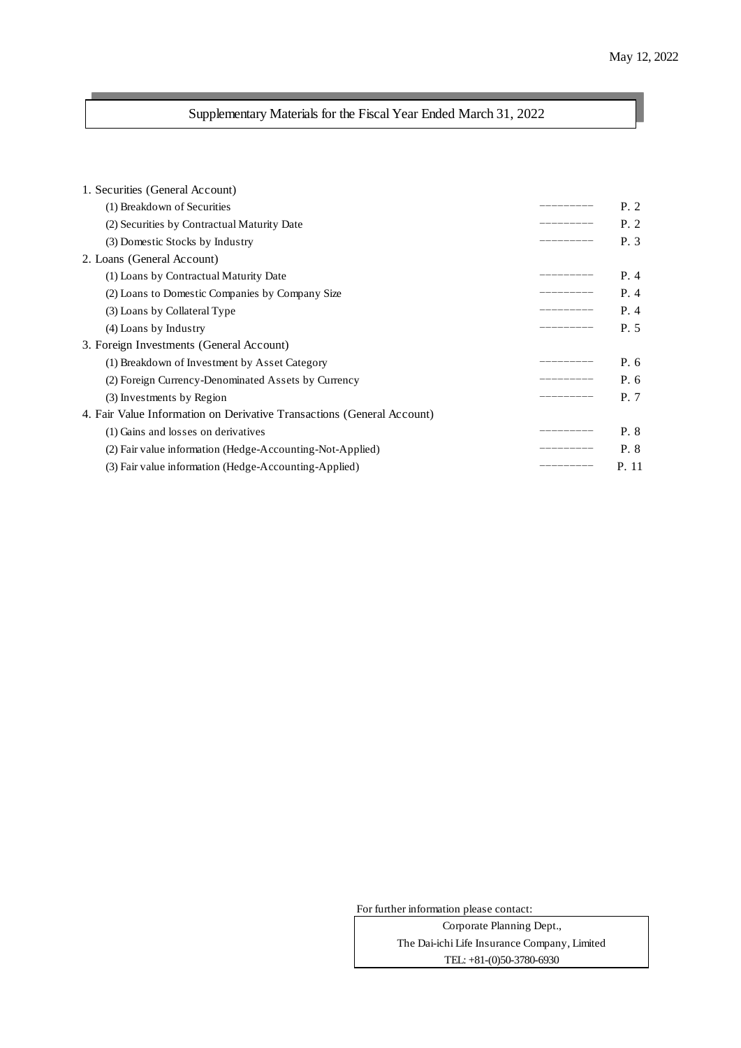# Supplementary Materials for the Fiscal Year Ended March 31, 2022

| 1. Securities (General Account)                                        |           |       |
|------------------------------------------------------------------------|-----------|-------|
| (1) Breakdown of Securities                                            | ________  | P. 2  |
| (2) Securities by Contractual Maturity Date                            |           | P.2   |
| (3) Domestic Stocks by Industry                                        |           | P. 3  |
| 2. Loans (General Account)                                             |           |       |
| (1) Loans by Contractual Maturity Date                                 |           | P.4   |
| (2) Loans to Domestic Companies by Company Size                        | _________ | P.4   |
| (3) Loans by Collateral Type                                           | _________ | P.4   |
| (4) Loans by Industry                                                  |           | P. 5  |
| 3. Foreign Investments (General Account)                               |           |       |
| (1) Breakdown of Investment by Asset Category                          |           | P. 6  |
| (2) Foreign Currency-Denominated Assets by Currency                    |           | P. 6  |
| (3) Investments by Region                                              |           | P. 7  |
| 4. Fair Value Information on Derivative Transactions (General Account) |           |       |
| (1) Gains and losses on derivatives                                    |           | P. 8  |
| (2) Fair value information (Hedge-Accounting-Not-Applied)              |           | P. 8  |
| (3) Fair value information (Hedge-Accounting-Applied)                  |           | P. 11 |

For further information please contact:

TEL: +81-(0)50-3780-6930 The Dai-ichi Life Insurance Company, Limited Corporate Planning Dept.,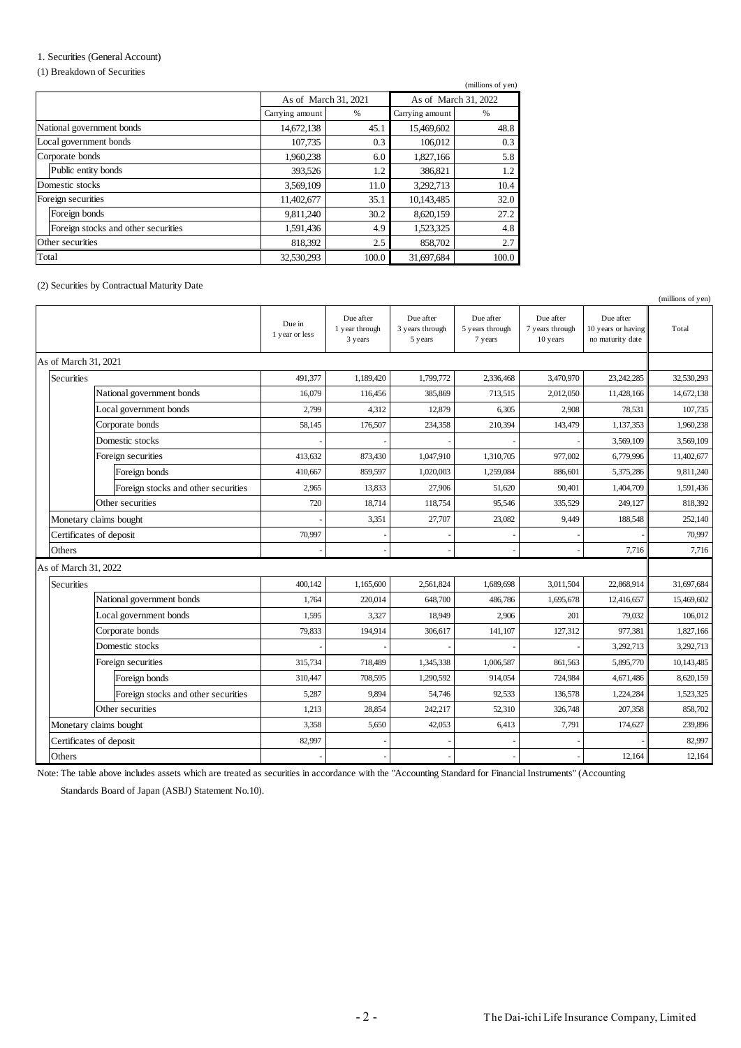## 1. Securities (General Account)

#### (1) Breakdown of Securities

|                                     |                      |       |                      | (millions of yen) |  |
|-------------------------------------|----------------------|-------|----------------------|-------------------|--|
|                                     | As of March 31, 2021 |       | As of March 31, 2022 |                   |  |
|                                     | Carrying amount      | %     | Carrying amount      | %                 |  |
| National government bonds           | 14,672,138           | 45.1  | 15,469,602           | 48.8              |  |
| Local government bonds              | 107,735              | 0.3   | 106,012              | 0.3               |  |
| Corporate bonds                     | 1,960,238            | 6.0   | 1,827,166            | 5.8               |  |
| Public entity bonds                 | 393,526              | 1.2   | 386,821              | 1.2               |  |
| Domestic stocks                     | 3,569,109            | 11.0  | 3,292,713            | 10.4              |  |
| Foreign securities                  | 11,402,677           | 35.1  | 10,143,485           | 32.0              |  |
| Foreign bonds                       | 9,811,240            | 30.2  | 8,620,159            | 27.2              |  |
| Foreign stocks and other securities | 1,591,436            | 4.9   | 1,523,325            | 4.8               |  |
| Other securities                    | 818,392              | 2.5   | 858,702              | 2.7               |  |
| Total                               | 32,530,293           | 100.0 | 31,697,684           | 100.0             |  |

(2) Securities by Contractual Maturity Date

|                      |                                     |                          |                                        |                                         |                                         |                                          |                                                     | (millions of yen) |
|----------------------|-------------------------------------|--------------------------|----------------------------------------|-----------------------------------------|-----------------------------------------|------------------------------------------|-----------------------------------------------------|-------------------|
|                      |                                     | Due in<br>1 year or less | Due after<br>1 year through<br>3 years | Due after<br>3 years through<br>5 years | Due after<br>5 years through<br>7 years | Due after<br>7 years through<br>10 years | Due after<br>10 years or having<br>no maturity date | Total             |
| As of March 31, 2021 |                                     |                          |                                        |                                         |                                         |                                          |                                                     |                   |
| <b>Securities</b>    |                                     | 491.377                  | 1,189,420                              | 1,799,772                               | 2.336,468                               | 3,470,970                                | 23, 242, 285                                        | 32,530,293        |
|                      | National government bonds           | 16,079                   | 116,456                                | 385,869                                 | 713,515                                 | 2,012,050                                | 11,428,166                                          | 14,672,138        |
|                      | Local government bonds              | 2,799                    | 4,312                                  | 12,879                                  | 6,305                                   | 2,908                                    | 78,531                                              | 107.735           |
|                      | Corporate bonds                     | 58,145                   | 176,507                                | 234,358                                 | 210,394                                 | 143,479                                  | 1,137,353                                           | 1,960,238         |
|                      | Domestic stocks                     |                          |                                        |                                         |                                         |                                          | 3,569,109                                           | 3,569,109         |
|                      | Foreign securities                  | 413,632                  | 873,430                                | 1,047,910                               | 1,310,705                               | 977,002                                  | 6,779,996                                           | 11,402,677        |
|                      | Foreign bonds                       | 410,667                  | 859,597                                | 1,020,003                               | 1,259,084                               | 886,601                                  | 5,375,286                                           | 9,811,240         |
|                      | Foreign stocks and other securities | 2,965                    | 13,833                                 | 27,906                                  | 51,620                                  | 90,401                                   | 1,404,709                                           | 1,591,436         |
|                      | Other securities                    | 720                      | 18,714                                 | 118,754                                 | 95,546                                  | 335,529                                  | 249,127                                             | 818,392           |
|                      | Monetary claims bought              |                          | 3,351                                  | 27,707                                  | 23,082                                  | 9,449                                    | 188,548                                             | 252,140           |
|                      | Certificates of deposit             | 70,997                   |                                        |                                         |                                         |                                          |                                                     | 70,997            |
| Others               |                                     |                          |                                        |                                         |                                         |                                          | 7,716                                               | 7,716             |
|                      | As of March 31, 2022                |                          |                                        |                                         |                                         |                                          |                                                     |                   |
| <b>Securities</b>    |                                     | 400,142                  | 1,165,600                              | 2,561,824                               | 1,689,698                               | 3,011,504                                | 22,868,914                                          | 31,697,684        |
|                      | National government bonds           | 1,764                    | 220,014                                | 648,700                                 | 486,786                                 | 1,695,678                                | 12,416,657                                          | 15,469,602        |
|                      | Local government bonds              | 1,595                    | 3,327                                  | 18,949                                  | 2,906                                   | 201                                      | 79,032                                              | 106,012           |
|                      | Corporate bonds                     | 79,833                   | 194,914                                | 306,617                                 | 141,107                                 | 127,312                                  | 977,381                                             | 1,827,166         |
|                      | Domestic stocks                     |                          |                                        |                                         |                                         |                                          | 3,292,713                                           | 3,292,713         |
|                      | Foreign securities                  | 315,734                  | 718,489                                | 1,345,338                               | 1,006,587                               | 861,563                                  | 5,895,770                                           | 10,143,485        |
|                      | Foreign bonds                       | 310,447                  | 708,595                                | 1,290,592                               | 914,054                                 | 724,984                                  | 4,671,486                                           | 8,620,159         |
|                      | Foreign stocks and other securities | 5,287                    | 9,894                                  | 54,746                                  | 92,533                                  | 136,578                                  | 1,224,284                                           | 1,523,325         |
|                      | Other securities                    | 1,213                    | 28,854                                 | 242,217                                 | 52,310                                  | 326,748                                  | 207,358                                             | 858,702           |
|                      | Monetary claims bought              | 3,358                    | 5,650                                  | 42,053                                  | 6,413                                   | 7,791                                    | 174,627                                             | 239,896           |
|                      | Certificates of deposit             | 82,997                   |                                        |                                         |                                         |                                          |                                                     | 82,997            |
| Others               |                                     |                          |                                        |                                         |                                         |                                          | 12,164                                              | 12,164            |

Note: The table above includes assets which are treated as securities in accordance with the "Accounting Standard for Financial Instruments" (Accounting

Standards Board of Japan (ASBJ) Statement No.10).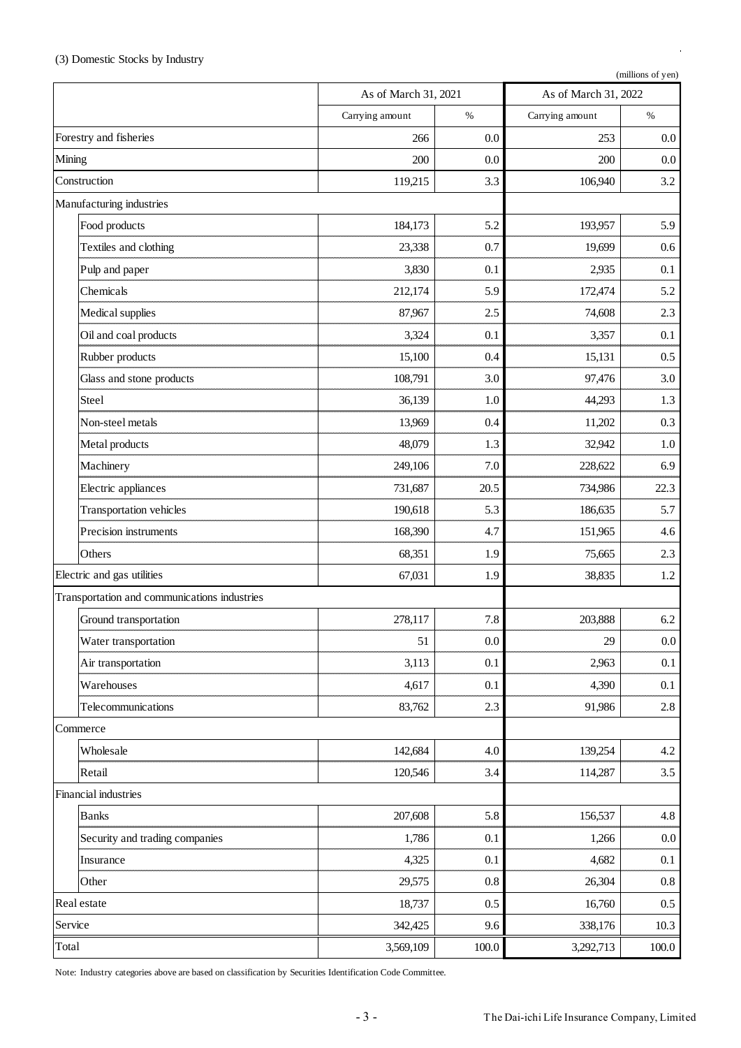l,

|              |                                              | As of March 31, 2021 |         | As of March 31, 2022 |         |
|--------------|----------------------------------------------|----------------------|---------|----------------------|---------|
|              |                                              | Carrying amount      | $\%$    | Carrying amount      | $\%$    |
|              | Forestry and fisheries                       | 266                  | 0.0     | 253                  | $0.0\,$ |
| Mining       |                                              | 200                  | 0.0     | 200                  | $0.0\,$ |
| Construction |                                              | 119,215              | 3.3     | 106,940              | 3.2     |
|              | Manufacturing industries                     |                      |         |                      |         |
|              | Food products                                | 184,173              | 5.2     | 193,957              | 5.9     |
|              | Textiles and clothing                        | 23,338               | 0.7     | 19,699               | 0.6     |
|              | Pulp and paper                               | 3,830                | 0.1     | 2,935                | 0.1     |
|              | Chemicals                                    | 212,174              | 5.9     | 172,474              | 5.2     |
|              | Medical supplies                             | 87,967               | 2.5     | 74,608               | 2.3     |
|              | Oil and coal products                        | 3,324                | 0.1     | 3,357                | 0.1     |
|              | Rubber products                              | 15,100               | 0.4     | 15,131               | 0.5     |
|              | Glass and stone products                     | 108,791              | 3.0     | 97,476               | 3.0     |
|              | Steel                                        | 36,139               | 1.0     | 44,293               | 1.3     |
|              | Non-steel metals                             | 13,969               | 0.4     | 11,202               | 0.3     |
|              | Metal products                               | 48,079               | 1.3     | 32,942               | 1.0     |
|              | Machinery                                    | 249,106              | 7.0     | 228,622              | 6.9     |
|              | Electric appliances                          | 731,687              | 20.5    | 734,986              | 22.3    |
|              | Transportation vehicles                      | 190,618              | 5.3     | 186,635              | 5.7     |
|              | Precision instruments                        | 168,390              | 4.7     | 151,965              | 4.6     |
|              | Others                                       | 68,351               | 1.9     | 75,665               | 2.3     |
|              | Electric and gas utilities                   | 67,031               | 1.9     | 38,835               | $1.2\,$ |
|              | Transportation and communications industries |                      |         |                      |         |
|              | Ground transportation                        | 278,117              | 7.8     | 203,888              | 6.2     |
|              | Water transportation                         | 51                   | 0.0     | $29\,$               | $0.0\,$ |
|              | Air transportation                           | 3,113                | 0.1     | 2,963                | 0.1     |
|              | Warehouses                                   | 4,617                | 0.1     | 4,390                | 0.1     |
|              | Telecommunications                           | 83,762               | 2.3     | 91,986               | $2.8\,$ |
| Commerce     |                                              |                      |         |                      |         |
|              | Wholesale                                    | 142,684              | 4.0     | 139,254              | 4.2     |
|              | Retail                                       | 120,546              | 3.4     | 114,287              | 3.5     |
|              | Financial industries                         |                      |         |                      |         |
|              | <b>Banks</b>                                 | 207,608              | 5.8     | 156,537              | 4.8     |
|              | Security and trading companies               | 1,786                | 0.1     | 1,266                | $0.0\,$ |
|              | Insurance                                    | 4,325                | 0.1     | 4,682                | 0.1     |
|              | Other                                        | 29,575               | $0.8\,$ | 26,304               | 0.8     |
| Real estate  |                                              | 18,737               | 0.5     | 16,760               | 0.5     |
| Service      |                                              | 342,425              | 9.6     | 338,176              | 10.3    |
| Total        |                                              | 3,569,109            | 100.0   | 3,292,713            | 100.0   |

Note: Industry categories above are based on classification by Securities Identification Code Committee.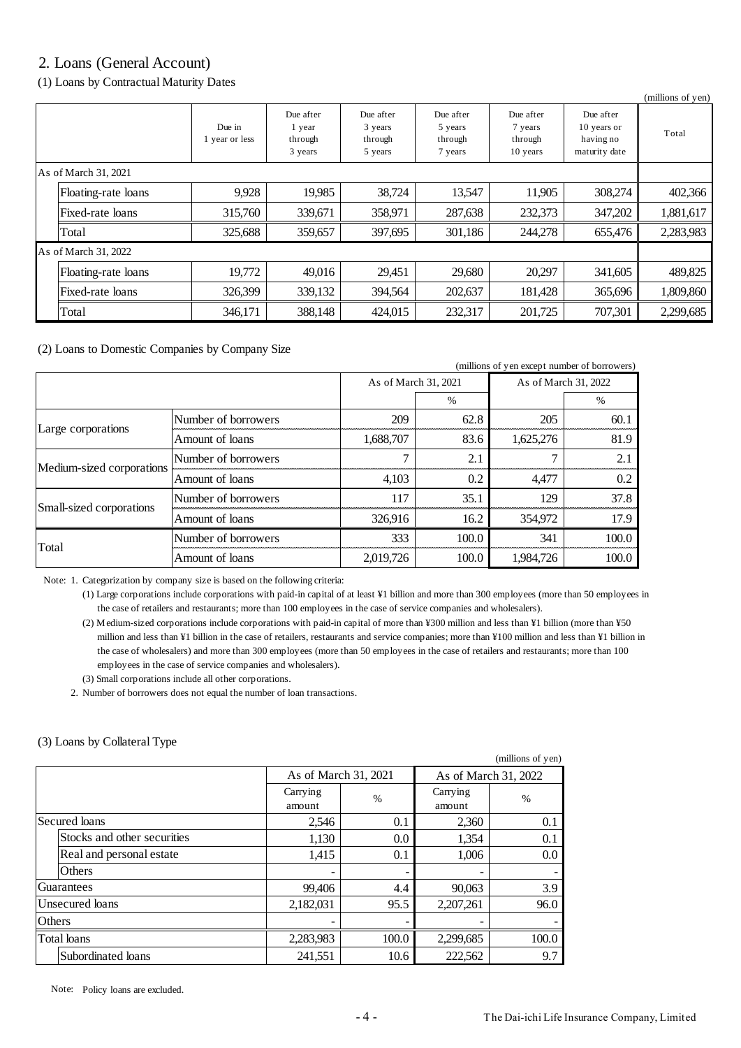# 2. Loans (General Account)

(1) Loans by Contractual Maturity Dates

|                      |                      |                          |                                           |                                            |                                            |                                             |                                                        | (millions of yen) |
|----------------------|----------------------|--------------------------|-------------------------------------------|--------------------------------------------|--------------------------------------------|---------------------------------------------|--------------------------------------------------------|-------------------|
|                      |                      | Due in<br>1 year or less | Due after<br>1 year<br>through<br>3 years | Due after<br>3 years<br>through<br>5 years | Due after<br>5 years<br>through<br>7 years | Due after<br>7 years<br>through<br>10 years | Due after<br>10 years or<br>having no<br>maturity date | Total             |
|                      | As of March 31, 2021 |                          |                                           |                                            |                                            |                                             |                                                        |                   |
|                      | Floating-rate loans  | 9,928                    | 19,985                                    | 38,724                                     | 13,547                                     | 11,905                                      | 308,274                                                | 402,366           |
|                      | Fixed-rate loans     | 315,760                  | 339,671                                   | 358,971                                    | 287,638                                    | 232,373                                     | 347,202                                                | 1,881,617         |
|                      | Total                | 325,688                  | 359,657                                   | 397,695                                    | 301,186                                    | 244,278                                     | 655,476                                                | 2,283,983         |
| As of March 31, 2022 |                      |                          |                                           |                                            |                                            |                                             |                                                        |                   |
|                      | Floating-rate loans  | 19,772                   | 49,016                                    | 29,451                                     | 29,680                                     | 20,297                                      | 341,605                                                | 489,825           |
|                      | Fixed-rate loans     | 326,399                  | 339,132                                   | 394.564                                    | 202,637                                    | 181,428                                     | 365,696                                                | 1,809,860         |
|                      | Total                | 346,171                  | 388,148                                   | 424,015                                    | 232,317                                    | 201,725                                     | 707,301                                                | 2,299,685         |

(2) Loans to Domestic Companies by Company Size

| (millions of yen except number of borrowers) |                     |                      |       |                      |       |
|----------------------------------------------|---------------------|----------------------|-------|----------------------|-------|
|                                              |                     | As of March 31, 2021 |       | As of March 31, 2022 |       |
|                                              |                     |                      | $\%$  |                      | $\%$  |
| Large corporations                           | Number of borrowers | 209                  | 62.8  | 205                  | 60.1  |
|                                              | Amount of loans     | 1,688,707            | 83.6  | 1,625,276            | 81.9  |
|                                              | Number of borrowers |                      | 2.1   | 7                    | 2.1   |
| Medium-sized corporations                    | Amount of loans     | 4.103                | 0.2   | 4.477                | 0.2   |
|                                              | Number of borrowers | 117                  | 35.1  | 129                  | 37.8  |
| Small-sized corporations                     | Amount of loans     | 326,916              | 16.2  | 354,972              | 17.9  |
| Total                                        | Number of borrowers | 333                  | 100.0 | 341                  | 100.0 |
|                                              | Amount of loans     | 2,019,726            | 100.0 | 1,984,726            | 100.0 |

Note: 1. Categorization by company size is based on the following criteria:

(1) Large corporations include corporations with paid-in capital of at least ¥1 billion and more than 300 employees (more than 50 employees in the case of retailers and restaurants; more than 100 employees in the case of service companies and wholesalers).

(2) Medium-sized corporations include corporations with paid-in capital of more than ¥300 million and less than ¥1 billion (more than ¥50 million and less than ¥1 billion in the case of retailers, restaurants and service companies; more than ¥100 million and less than ¥1 billion in the case of wholesalers) and more than 300 employees (more than 50 employees in the case of retailers and restaurants; more than 100 employees in the case of service companies and wholesalers).

(3) Small corporations include all other corporations.

2. Number of borrowers does not equal the number of loan transactions.

## (3) Loans by Collateral Type

|                             |                    |                      |                    | (millions of yen)    |
|-----------------------------|--------------------|----------------------|--------------------|----------------------|
|                             |                    | As of March 31, 2021 |                    | As of March 31, 2022 |
|                             | Carrying<br>amount | $\%$                 | Carrying<br>amount | $\frac{0}{0}$        |
| Secured loans               | 2,546              | 0.1                  | 2,360              | 0.1                  |
| Stocks and other securities | 1,130              | 0.0                  | 1,354              | 0.1                  |
| Real and personal estate    | 1,415              | 0.1                  | 1,006              | 0.0                  |
| Others                      |                    | -                    |                    |                      |
| Guarantees                  | 99,406             | 4.4                  | 90,063             | 3.9                  |
| Unsecured loans             | 2,182,031          | 95.5                 | 2,207,261          | 96.0                 |
| <b>Others</b>               |                    |                      |                    |                      |
| <b>Total</b> loans          | 2,283,983          | 100.0                | 2,299,685          | 100.0                |
| Subordinated loans          | 241,551            | 10.6                 | 222,562            | 9.7                  |

Note: Policy loans are excluded.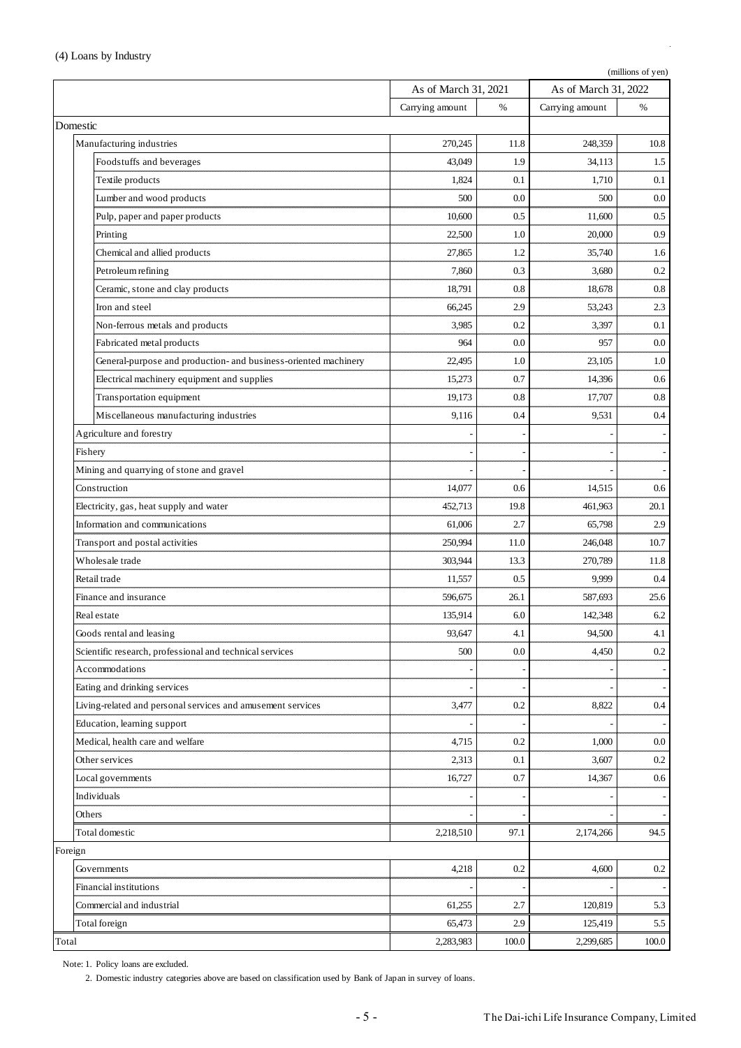|                                                                 | (millions of yen)    |       |                      |       |
|-----------------------------------------------------------------|----------------------|-------|----------------------|-------|
|                                                                 | As of March 31, 2021 |       | As of March 31, 2022 |       |
|                                                                 | Carrying amount      | %     | Carrying amount      | %     |
| Domestic                                                        |                      |       |                      |       |
| Manufacturing industries                                        | 270,245              | 11.8  | 248,359              | 10.8  |
| Foodstuffs and beverages                                        | 43.049               | 1.9   | 34,113               | 1.5   |
| Textile products                                                | 1,824                | 0.1   | 1,710                | 0.1   |
| Lumber and wood products                                        | 500                  | 0.0   | 500                  | 0.0   |
| Pulp, paper and paper products                                  | 10,600               | 0.5   | 11,600               | 0.5   |
| Printing                                                        | 22,500               | 1.0   | 20,000               | 0.9   |
| Chemical and allied products                                    | 27,865               | 1.2   | 35,740               | 1.6   |
| Petroleum refining                                              | 7,860                | 0.3   | 3,680                | 0.2   |
| Ceramic, stone and clay products                                | 18,791               | 0.8   | 18,678               | 0.8   |
| Iron and steel                                                  | 66,245               | 2.9   | 53.243               | 2.3   |
| Non-ferrous metals and products                                 | 3,985                | 0.2   | 3,397                | 0.1   |
| Fabricated metal products                                       | 964                  | 0.0   | 957                  | 0.0   |
| General-purpose and production- and business-oriented machinery | 22,495               | 1.0   | 23.105               | 1.0   |
| Electrical machinery equipment and supplies                     | 15,273               | 0.7   | 14,396               | 0.6   |
| Transportation equipment                                        | 19,173               | 0.8   | 17,707               | 0.8   |
| Miscellaneous manufacturing industries                          | 9,116                | 0.4   | 9,531                | 0.4   |
| Agriculture and forestry                                        |                      |       |                      |       |
| Fishery                                                         |                      |       |                      |       |
| Mining and quarrying of stone and gravel                        |                      |       |                      |       |
| Construction                                                    | 14,077               | 0.6   | 14,515               | 0.6   |
| Electricity, gas, heat supply and water                         | 452,713              | 19.8  | 461,963              | 20.1  |
| Information and communications                                  | 61,006               | 2.7   | 65,798               | 2.9   |
| Transport and postal activities                                 | 250,994              | 11.0  | 246,048              | 10.7  |
| Wholesale trade                                                 | 303,944              | 13.3  | 270,789              | 11.8  |
| Retail trade                                                    | 11,557               | 0.5   | 9,999                | 0.4   |
| Finance and insurance                                           | 596,675              | 26.1  | 587,693              | 25.6  |
| Real estate                                                     | 135,914              | 6.0   | 142.348              | 6.2   |
| Goods rental and leasing                                        | 93,647               | 4.1   | 94,500               | 4.1   |
| Scientific research, professional and technical services        | 500                  | 0.0   | 4,450                | 0.2   |
| Accommodations                                                  |                      |       |                      |       |
| Eating and drinking services                                    |                      |       |                      |       |
| Living-related and personal services and amusement services     | 3,477                | 0.2   | 8,822                | 0.4   |
| Education, learning support                                     |                      |       |                      |       |
| Medical, health care and welfare                                | 4,715                | 0.2   | 1,000                | 0.0   |
| Other services                                                  | 2,313                | 0.1   | 3,607                | 0.2   |
| Local governments                                               | 16,727               | 0.7   | 14,367               | 0.6   |
| Individuals                                                     |                      |       |                      |       |
| Others                                                          |                      |       |                      |       |
| Total domestic                                                  | 2,218,510            | 97.1  | 2,174,266            | 94.5  |
| Foreign                                                         |                      |       |                      |       |
| Governments                                                     | 4,218                | 0.2   | 4,600                | 0.2   |
| Financial institutions                                          |                      |       |                      |       |
| Commercial and industrial                                       | 61,255               | 2.7   | 120,819              | 5.3   |
| Total foreign                                                   | 65,473               | 2.9   | 125,419              | 5.5   |
| Total                                                           | 2,283,983            | 100.0 | 2,299,685            | 100.0 |

Note: 1. Policy loans are excluded.

2. Domestic industry categories above are based on classification used by Bank of Japan in survey of loans.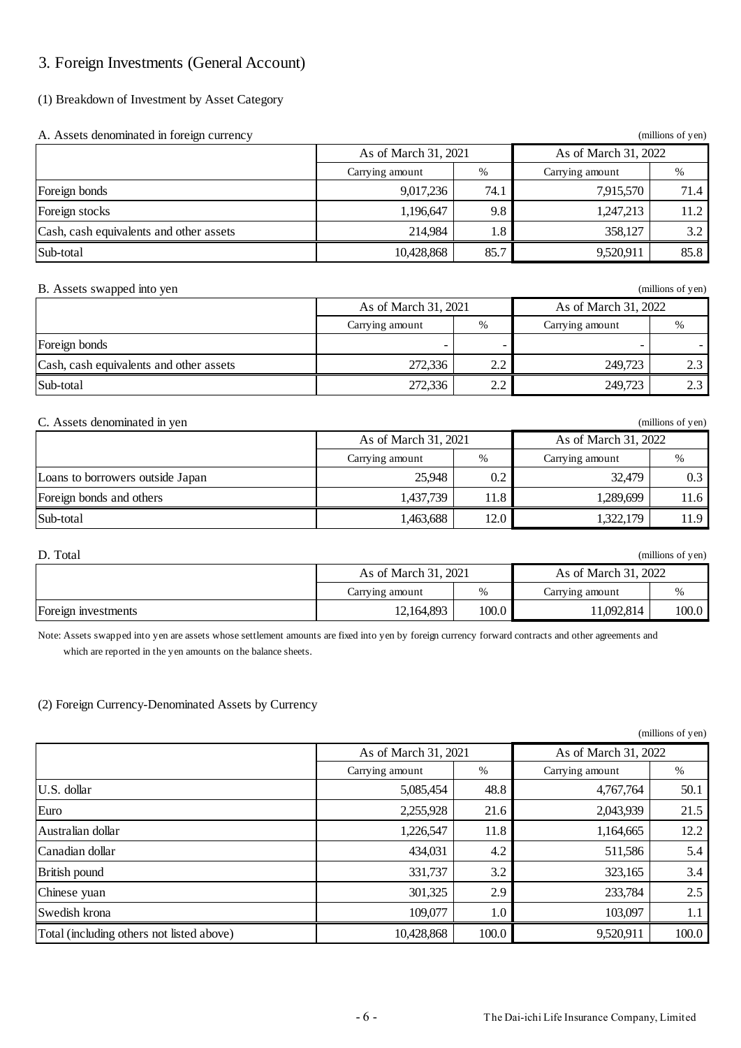# 3. Foreign Investments (General Account)

## (1) Breakdown of Investment by Asset Category

| A. Assets denominated in foreign currency |                      |      |                      | (millions of yen) |  |
|-------------------------------------------|----------------------|------|----------------------|-------------------|--|
|                                           | As of March 31, 2021 |      | As of March 31, 2022 |                   |  |
|                                           | Carrying amount      | %    | Carrying amount      | %                 |  |
| Foreign bonds                             | 9,017,236            | 74.1 | 7,915,570            | 71.4              |  |
| Foreign stocks                            | 1,196,647            | 9.8  | 1,247,213            | 11.2              |  |
| Cash, cash equivalents and other assets   | 214,984              | 1.8  | 358,127              | 3.2               |  |
| Sub-total                                 | 10,428,868           | 85.7 | 9,520,911            | 85.8              |  |

### B. Assets swapped into yen (millions of yen) (millions of yen)

|                                         | As of March 31, 2021 |                 | As of March 31, 2022 |        |  |
|-----------------------------------------|----------------------|-----------------|----------------------|--------|--|
|                                         | Carrying amount      | %               | Carrying amount      | %      |  |
| Foreign bonds                           |                      | -               |                      |        |  |
| Cash, cash equivalents and other assets | 272,336              | $\Omega$<br>2.Z | 249,723              | $\cap$ |  |
| Sub-total                               | 272,336              | $\gamma$        | 249,723              |        |  |

### C. Assets denominated in yen (millions of yen)

|                                  | As of March 31, 2021 |      | As of March 31, 2022 |      |  |
|----------------------------------|----------------------|------|----------------------|------|--|
|                                  | Carrying amount      | $\%$ | Carrying amount      | %    |  |
| Loans to borrowers outside Japan | 25,948               | 0.2  | 32.479               | 0.3  |  |
| Foreign bonds and others         | 1,437,739            | 11.8 | 1.289.699            | 11.6 |  |
| Sub-total                        | 1,463,688            | 12.0 | 1.322.179            | 11.9 |  |

| D. Total<br>(millions of yen) |                      |       |                      |       |
|-------------------------------|----------------------|-------|----------------------|-------|
|                               | As of March 31, 2021 |       | As of March 31, 2022 |       |
|                               | Carrying amount      | $\%$  | Carrying amount      | %     |
| Foreign investments           | 12,164,893           | 100.0 | 11,092,814           | 100.0 |

Note: Assets swapped into yen are assets whose settlement amounts are fixed into yen by foreign currency forward contracts and other agreements and which are reported in the yen amounts on the balance sheets.

## (2) Foreign Currency-Denominated Assets by Currency

|                                           |                      |       |                      | $\mu$ munoms or $\mu$ cm |
|-------------------------------------------|----------------------|-------|----------------------|--------------------------|
|                                           | As of March 31, 2021 |       | As of March 31, 2022 |                          |
|                                           | Carrying amount      | %     | Carrying amount      | %                        |
| U.S. dollar                               | 5,085,454            | 48.8  | 4,767,764            | 50.1                     |
| Euro                                      | 2,255,928            | 21.6  | 2,043,939            | 21.5                     |
| Australian dollar                         | 1,226,547            | 11.8  | 1,164,665            | 12.2                     |
| Canadian dollar                           | 434,031              | 4.2   | 511,586              | 5.4                      |
| British pound                             | 331,737              | 3.2   | 323,165              | 3.4                      |
| Chinese yuan                              | 301,325              | 2.9   | 233,784              | 2.5                      |
| Swedish krona                             | 109,077              | 1.0   | 103,097              | 1.1                      |
| Total (including others not listed above) | 10,428,868           | 100.0 | 9,520,911            | 100.0                    |

 $(millione of van)$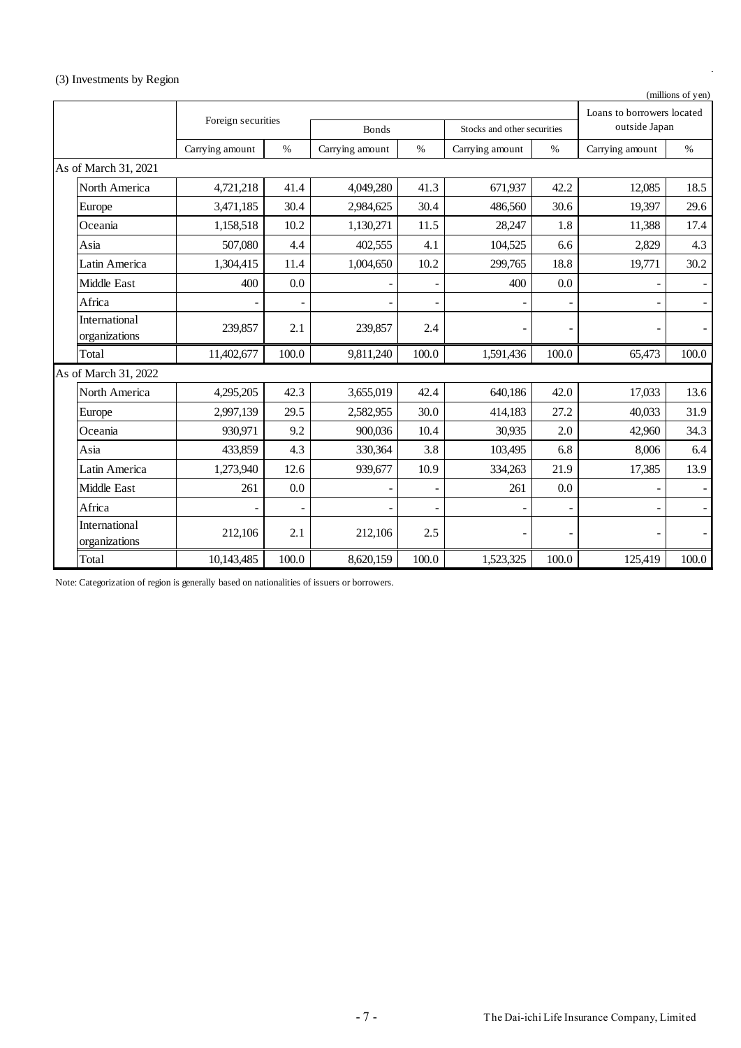# (3) Investments by Region

|  | (millions of yen) |  |  |  |  |
|--|-------------------|--|--|--|--|
|--|-------------------|--|--|--|--|

|                                       |                    |                |                          |       |                             |       | Loans to borrowers located |                |
|---------------------------------------|--------------------|----------------|--------------------------|-------|-----------------------------|-------|----------------------------|----------------|
|                                       | Foreign securities |                | <b>Bonds</b>             |       | Stocks and other securities |       | outside Japan              |                |
|                                       | Carrying amount    | $\%$           | Carrying amount          | $\%$  | Carrying amount             | $\%$  | Carrying amount            | $\%$           |
| As of March 31, 2021                  |                    |                |                          |       |                             |       |                            |                |
| North America                         | 4,721,218          | 41.4           | 4,049,280                | 41.3  | 671,937                     | 42.2  | 12,085                     | 18.5           |
| Europe                                | 3,471,185          | 30.4           | 2,984,625                | 30.4  | 486,560                     | 30.6  | 19.397                     | 29.6           |
| Oceania                               | 1,158,518          | 10.2           | 1,130,271                | 11.5  | 28,247                      | 1.8   | 11,388                     | 17.4           |
| Asia                                  | 507,080            | 4.4            | 402,555                  | 4.1   | 104,525                     | 6.6   | 2,829                      | 4.3            |
| Latin America                         | 1,304,415          | 11.4           | 1,004,650                | 10.2  | 299,765                     | 18.8  | 19,771                     | 30.2           |
| Middle East                           | 400                | 0.0            |                          |       | 400                         | 0.0   |                            |                |
| Africa                                | $\overline{a}$     | $\overline{a}$ | $\overline{\phantom{a}}$ |       | $\overline{a}$              |       |                            |                |
| International<br>organizations        | 239,857            | 2.1            | 239,857                  | 2.4   |                             |       |                            |                |
| Total                                 | 11,402,677         | 100.0          | 9,811,240                | 100.0 | 1,591,436                   | 100.0 | 65,473                     | 100.0          |
| As of March 31, 2022                  |                    |                |                          |       |                             |       |                            |                |
| North America                         | 4,295,205          | 42.3           | 3,655,019                | 42.4  | 640,186                     | 42.0  | 17,033                     | 13.6           |
| Europe                                | 2,997,139          | 29.5           | 2,582,955                | 30.0  | 414,183                     | 27.2  | 40,033                     | 31.9           |
| Oceania                               | 930.971            | 9.2            | 900,036                  | 10.4  | 30,935                      | 2.0   | 42,960                     | 34.3           |
| Asia                                  | 433,859            | 4.3            | 330,364                  | 3.8   | 103,495                     | 6.8   | 8,006                      | 6.4            |
| Latin America                         | 1,273,940          | 12.6           | 939,677                  | 10.9  | 334,263                     | 21.9  | 17,385                     | 13.9           |
| Middle East                           | 261                | 0.0            |                          |       | 261                         | 0.0   |                            |                |
| Africa                                |                    |                |                          |       |                             |       |                            | $\blacksquare$ |
| <b>International</b><br>organizations | 212,106            | 2.1            | 212,106                  | 2.5   |                             |       |                            |                |
| Total                                 | 10,143,485         | 100.0          | 8,620,159                | 100.0 | 1,523,325                   | 100.0 | 125,419                    | 100.0          |

Note: Categorization of region is generally based on nationalities of issuers or borrowers.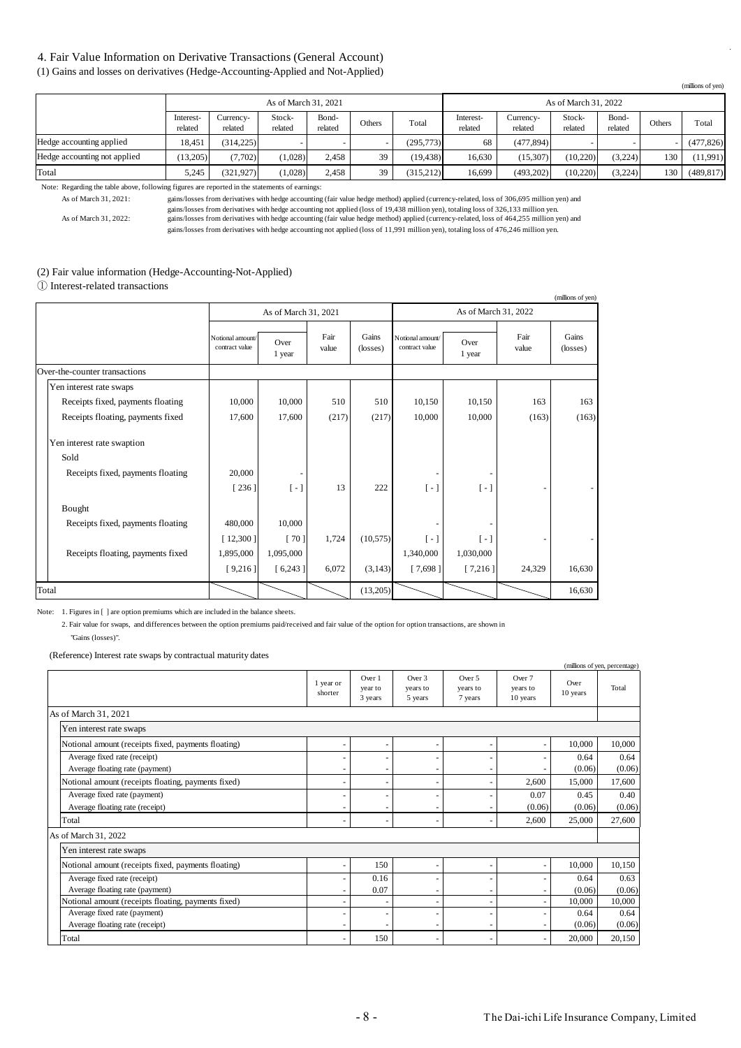## 4. Fair Value Information on Derivative Transactions (General Account)

(1) Gains and losses on derivatives (Hedge-Accounting-Applied and Not-Applied)

|                              |                      |                      | As of March 31, 2021 |                  |        |            | As of March 31, 2022 |                      |                   |                  |        |            |
|------------------------------|----------------------|----------------------|----------------------|------------------|--------|------------|----------------------|----------------------|-------------------|------------------|--------|------------|
|                              | Interest-<br>related | Currency-<br>related | Stock-<br>related    | Bond-<br>related | Others | Total      | Interest-<br>related | Currency-<br>related | Stock-<br>related | Bond-<br>related | Others | Total      |
| Hedge accounting applied     | 18.451               | (314.225)            |                      |                  |        | (295, 773) | 68                   | (477.894)            |                   |                  |        | (477, 826) |
| Hedge accounting not applied | (13.205)             | (7.702)              | (1.028)              | 2.458            | 39     | (19, 438)  | 16.630               | (15.307)             | (10.220)          | (3.224)          | 130    | (11,991)   |
| Total                        | 5.245                | (321.927)            | (1,028)              | 2,458            | 39     | (315,212)  | 16.699               | (493,202)            | (10,220)          | (3,224)          | 130    | (489, 817) |

Note: Regarding the table above, following figures are reported in the statements of earnings:

As of March 31, 2021: gains/losses from derivatives with hedge accounting (fair value hedge method) applied (currency-related, loss of 306,695 million yen) and gains/losses from derivatives with hedge accounting not applied (loss of 19,438 million yen), totaling loss of 326,133 million yen.

As of March 31, 2022: gains/losses from derivatives with hedge accounting (fair value hedge method) applied (currency-related, loss of 464,255 million yen) and gains/losses from derivatives with hedge accounting not applied (loss of 11,991 million yen), totaling loss of 476,246 million yen.

#### (2) Fair value information (Hedge-Accounting-Not-Applied)

① Interest-related transactions

|                                   |                                    |                        |               |                   |                                    |                      |               | (millions of yen) |
|-----------------------------------|------------------------------------|------------------------|---------------|-------------------|------------------------------------|----------------------|---------------|-------------------|
|                                   |                                    | As of March 31, 2021   |               |                   |                                    | As of March 31, 2022 |               |                   |
|                                   | Notional amount/<br>contract value | Over<br>1 year         | Fair<br>value | Gains<br>(losses) | Notional amount/<br>contract value | Over<br>1 year       | Fair<br>value | Gains<br>(losses) |
| Over-the-counter transactions     |                                    |                        |               |                   |                                    |                      |               |                   |
| Yen interest rate swaps           |                                    |                        |               |                   |                                    |                      |               |                   |
| Receipts fixed, payments floating | 10,000                             | 10,000                 | 510           | 510               | 10,150                             | 10,150               | 163           | 163               |
| Receipts floating, payments fixed | 17,600                             | 17,600                 | (217)         | (217)             | 10,000                             | 10,000               | (163)         | (163)             |
| Yen interest rate swaption        |                                    |                        |               |                   |                                    |                      |               |                   |
| Sold                              |                                    |                        |               |                   |                                    |                      |               |                   |
| Receipts fixed, payments floating | 20,000                             |                        |               |                   |                                    |                      |               |                   |
|                                   | [236]                              | $\left[ \cdot \right]$ | 13            | 222               | [ - ]                              | $\left[ -\right]$    |               |                   |
| Bought                            |                                    |                        |               |                   |                                    |                      |               |                   |
| Receipts fixed, payments floating | 480,000                            | 10,000                 |               |                   |                                    |                      |               |                   |
|                                   | [12,300]                           | [70]                   | 1,724         | (10, 575)         | $\lceil - \rceil$                  | $\lceil - \rceil$    |               |                   |
| Receipts floating, payments fixed | 1,895,000                          | 1,095,000              |               |                   | 1,340,000                          | 1,030,000            |               |                   |
|                                   | [9,216]                            | [6,243]                | 6,072         | (3,143)           | [7,698]                            | [7,216]              | 24,329        | 16,630            |
| Total                             |                                    |                        |               | (13,205)          |                                    |                      |               | 16,630            |

Note: 1. Figures in [ ] are option premiums which are included in the balance sheets.

2. Fair value for swaps, and differences between the option premiums paid/received and fair value of the option for option transactions, are shown in "Gains (losses)".

(Reference) Interest rate swaps by contractual maturity dates

|                                                     |                          |                              |                               |                               |                                |                  | (millions of yen, percentage) |
|-----------------------------------------------------|--------------------------|------------------------------|-------------------------------|-------------------------------|--------------------------------|------------------|-------------------------------|
|                                                     | 1 year or<br>shorter     | Over 1<br>year to<br>3 years | Over 3<br>years to<br>5 years | Over 5<br>years to<br>7 years | Over 7<br>years to<br>10 years | Over<br>10 years | Total                         |
| As of March 31, 2021                                |                          |                              |                               |                               |                                |                  |                               |
| Yen interest rate swaps                             |                          |                              |                               |                               |                                |                  |                               |
| Notional amount (receipts fixed, payments floating) | $\overline{\phantom{a}}$ |                              |                               |                               | $\overline{\phantom{a}}$       | 10,000           | 10,000                        |
| Average fixed rate (receipt)                        |                          |                              |                               |                               |                                | 0.64             | 0.64                          |
| Average floating rate (payment)                     |                          |                              |                               |                               |                                | (0.06)           | (0.06)                        |
| Notional amount (receipts floating, payments fixed) | $\overline{\phantom{a}}$ |                              |                               |                               | 2,600                          | 15,000           | 17,600                        |
| Average fixed rate (payment)                        |                          |                              |                               |                               | 0.07                           | 0.45             | 0.40                          |
| Average floating rate (receipt)                     |                          |                              |                               |                               | (0.06)                         | (0.06)           | (0.06)                        |
| Total                                               | $\overline{\phantom{a}}$ |                              |                               |                               | 2,600                          | 25,000           | 27,600                        |
| As of March 31, 2022                                |                          |                              |                               |                               |                                |                  |                               |
| Yen interest rate swaps                             |                          |                              |                               |                               |                                |                  |                               |
| Notional amount (receipts fixed, payments floating) | $\overline{\phantom{a}}$ | 150                          |                               |                               | $\overline{\phantom{a}}$       | 10,000           | 10,150                        |
| Average fixed rate (receipt)                        |                          | 0.16                         |                               |                               |                                | 0.64             | 0.63                          |
| Average floating rate (payment)                     |                          | 0.07                         |                               |                               |                                | (0.06)           | (0.06)                        |
| Notional amount (receipts floating, payments fixed) |                          |                              |                               |                               | $\overline{\phantom{a}}$       | 10,000           | 10,000                        |
| Average fixed rate (payment)                        |                          |                              |                               |                               |                                | 0.64             | 0.64                          |
| Average floating rate (receipt)                     |                          |                              |                               |                               |                                | (0.06)           | (0.06)                        |
| Total                                               |                          | 150                          |                               |                               |                                | 20,000           | 20,150                        |

(millions of yen)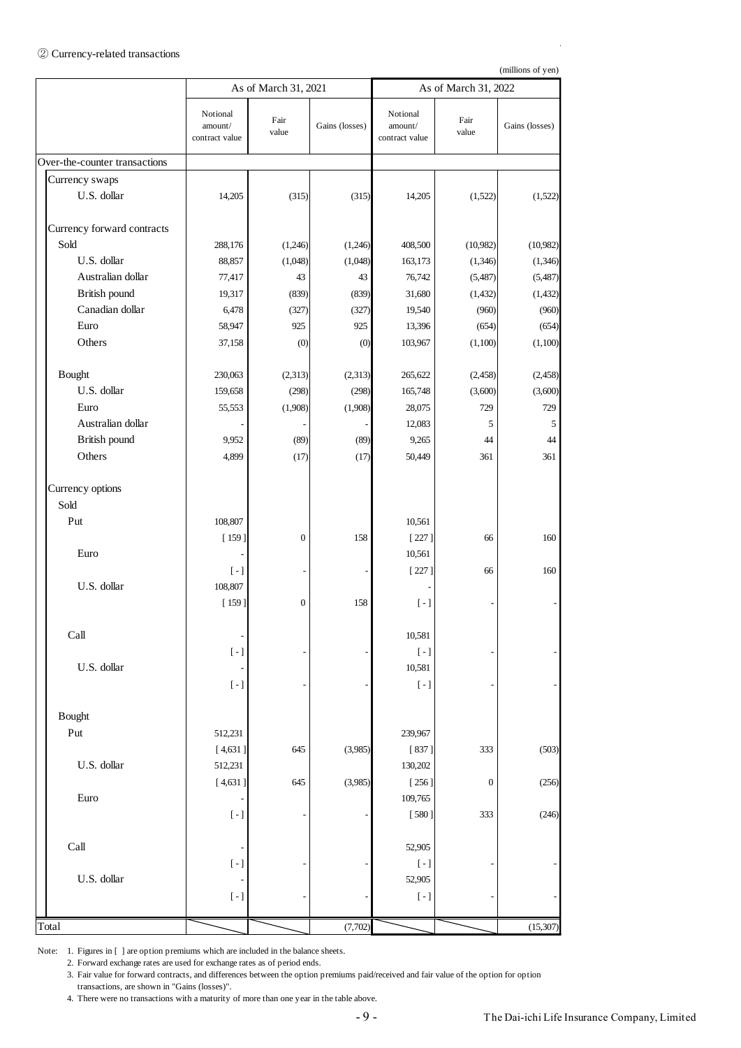#### ② Currency-related transactions

(millions of yen)

|                               | As of March 31, 2021                         |                          |                |                                                         | As of March 31, 2022 |                |
|-------------------------------|----------------------------------------------|--------------------------|----------------|---------------------------------------------------------|----------------------|----------------|
|                               | Notional<br>amount/<br>contract value        | Fair<br>value            | Gains (losses) | Notional<br>amount/<br>contract value                   | Fair<br>value        | Gains (losses) |
| Over-the-counter transactions |                                              |                          |                |                                                         |                      |                |
| Currency swaps                |                                              |                          |                |                                                         |                      |                |
| U.S. dollar                   | 14,205                                       | (315)                    | (315)          | 14,205                                                  | (1,522)              | (1,522)        |
| Currency forward contracts    |                                              |                          |                |                                                         |                      |                |
| Sold                          | 288,176                                      | (1,246)                  | (1,246)        | 408,500                                                 | (10,982)             | (10,982)       |
| U.S. dollar                   | 88,857                                       | (1,048)                  | (1,048)        | 163,173                                                 | (1,346)              | (1,346)        |
| Australian dollar             | 77,417                                       | 43                       | 43             | 76,742                                                  | (5,487)              | (5,487)        |
| British pound                 | 19,317                                       | (839)                    | (839)          | 31,680                                                  | (1, 432)             | (1, 432)       |
| Canadian dollar               | 6,478                                        | (327)                    | (327)          | 19,540                                                  | (960)                | (960)          |
| Euro                          | 58,947                                       | 925                      | 925            | 13,396                                                  | (654)                | (654)          |
| Others                        | 37,158                                       | (0)                      | (0)            | 103,967                                                 | (1,100)              | (1,100)        |
| <b>B</b> ought                | 230,063                                      | (2,313)                  | (2,313)        | 265,622                                                 | (2, 458)             | (2, 458)       |
| U.S. dollar                   | 159,658                                      | (298)                    | (298)          | 165,748                                                 | (3,600)              | (3,600)        |
| Euro                          | 55,553                                       | (1,908)                  | (1,908)        | 28,075                                                  | 729                  | 729            |
| Australian dollar             |                                              |                          |                | 12,083                                                  | 5                    | 5              |
| British pound                 | 9,952                                        | (89)                     | (89)           | 9,265                                                   | 44                   | 44             |
| Others                        | 4,899                                        | (17)                     | (17)           | 50,449                                                  | 361                  | 361            |
| Currency options<br>Sold      |                                              |                          |                |                                                         |                      |                |
| Put                           | 108,807                                      |                          |                | 10,561                                                  |                      |                |
|                               | $[159]$                                      | $\boldsymbol{0}$         | 158            | $[227]$                                                 | 66                   | 160            |
| Euro                          |                                              |                          |                | 10,561                                                  |                      |                |
|                               | $\left[ -\right]$                            | $\overline{\phantom{a}}$ |                | $[227]$                                                 | 66                   | 160            |
| U.S. dollar                   | 108,807                                      |                          |                |                                                         |                      |                |
|                               | $[159]$                                      | $\boldsymbol{0}$         | 158            | $[-]$                                                   |                      |                |
| Call                          |                                              |                          |                | 10,581                                                  |                      |                |
|                               | $\left[\begin{array}{c} -\end{array}\right]$ |                          |                | $\left[\begin{array}{c} - \end{array}\right]$           |                      |                |
| U.S. dollar                   |                                              |                          |                | 10,581                                                  |                      |                |
|                               | $\left[\,\text{-}\,\right]$                  |                          |                | $\left[\begin{array}{c} - \end{array}\right]$           |                      |                |
| <b>B</b> ought                |                                              |                          |                |                                                         |                      |                |
| Put                           | 512,231                                      |                          |                | 239,967                                                 |                      |                |
|                               | [4,631]                                      | 645                      | (3,985)        | [837]                                                   | 333                  | (503)          |
| U.S. dollar                   | 512,231                                      |                          |                | 130,202                                                 |                      |                |
|                               | [4,631]                                      | 645                      | (3,985)        | $[256]$                                                 | $\boldsymbol{0}$     | (256)          |
| Euro                          |                                              |                          |                | 109,765                                                 |                      |                |
|                               | $\left[\,\text{-}\,\right]$                  |                          |                | [580]                                                   | 333                  | (246)          |
| Call                          |                                              |                          |                | 52,905                                                  |                      |                |
|                               | $\left[\,\text{-}\,\right]$                  |                          |                | $[ - ]$                                                 |                      |                |
| U.S. dollar                   | $\left[\,\text{-}\,\right]$                  |                          |                | 52,905<br>$\left[\begin{array}{c} - \end{array}\right]$ |                      |                |
|                               |                                              |                          |                |                                                         |                      |                |
| Total                         |                                              |                          | (7,702)        |                                                         |                      | (15, 307)      |

Note: 1. Figures in [ ] are option premiums which are included in the balance sheets.

2. Forward exchange rates are used for exchange rates as of period ends.

3. Fair value for forward contracts, and differences between the option premiums paid/received and fair value of the option for option transactions, are shown in "Gains (losses)".

4. There were no transactions with a maturity of more than one year in the table above.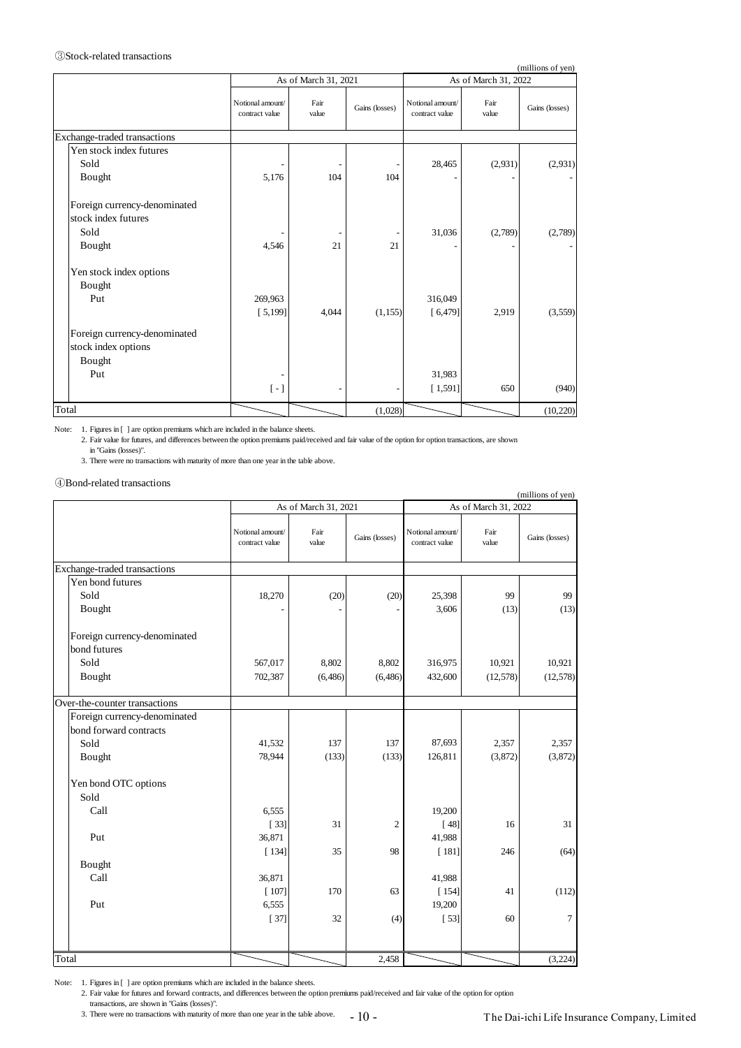|                              |                                               |                      |                |                                    |                      | (millions of yen) |
|------------------------------|-----------------------------------------------|----------------------|----------------|------------------------------------|----------------------|-------------------|
|                              |                                               | As of March 31, 2021 |                |                                    | As of March 31, 2022 |                   |
|                              | Notional amount/<br>contract value            | Fair<br>value        | Gains (losses) | Notional amount/<br>contract value | Fair<br>value        | Gains (losses)    |
| Exchange-traded transactions |                                               |                      |                |                                    |                      |                   |
| Yen stock index futures      |                                               |                      |                |                                    |                      |                   |
| Sold                         |                                               |                      |                | 28,465                             | (2,931)              | (2,931)           |
| Bought                       | 5,176                                         | 104                  | 104            |                                    |                      |                   |
| Foreign currency-denominated |                                               |                      |                |                                    |                      |                   |
| stock index futures          |                                               |                      |                |                                    |                      |                   |
| Sold                         |                                               |                      |                | 31,036                             | (2,789)              | (2,789)           |
| Bought                       | 4,546                                         | 21                   | 21             |                                    |                      |                   |
| Yen stock index options      |                                               |                      |                |                                    |                      |                   |
| Bought                       |                                               |                      |                |                                    |                      |                   |
| Put                          | 269,963                                       |                      |                | 316,049                            |                      |                   |
|                              | [5, 199]                                      | 4,044                | (1, 155)       | [6, 479]                           | 2,919                | (3,559)           |
| Foreign currency-denominated |                                               |                      |                |                                    |                      |                   |
| stock index options          |                                               |                      |                |                                    |                      |                   |
| Bought                       |                                               |                      |                |                                    |                      |                   |
| Put                          |                                               |                      |                | 31,983                             |                      |                   |
|                              | $\left[\begin{array}{c} - \end{array}\right]$ |                      |                | [1,591]                            | 650                  | (940)             |
| Total                        |                                               |                      | (1,028)        |                                    |                      | (10, 220)         |

|                                                                                                                        |                                    | As of March 31, 2021 |                |                                    | As of March 31, 2022 | (millions of yen) |
|------------------------------------------------------------------------------------------------------------------------|------------------------------------|----------------------|----------------|------------------------------------|----------------------|-------------------|
|                                                                                                                        | Notional amount/<br>contract value | Fair<br>value        | Gains (losses) | Notional amount/<br>contract value | Fair<br>value        | Gains (losses)    |
| Exchange-traded transactions                                                                                           |                                    |                      |                |                                    |                      |                   |
| Yen stock index futures<br>Sold<br>Bought                                                                              | 5,176                              | 104                  | 104            | 28,465                             | (2,931)              | (2,931)           |
| Foreign currency-denominated<br>stock index futures<br>Sold                                                            |                                    |                      |                | 31,036                             | (2,789)              | (2,789)           |
| Bought                                                                                                                 | 4,546                              | 21                   | 21             |                                    |                      |                   |
| Yen stock index options<br>Bought<br>Put                                                                               | 269,963<br>[5, 199]                | 4,044                | (1, 155)       | 316,049<br>[6, 479]                | 2,919                | (3,559)           |
| Foreign currency-denominated<br>stock index options<br>Bought<br>Put                                                   |                                    |                      |                | 31,983                             |                      |                   |
|                                                                                                                        | $\left[ -\right]$                  |                      |                | [1,591]                            | 650                  | (940)             |
| Total                                                                                                                  |                                    |                      | (1,028)        |                                    |                      | (10, 220)         |
| 3. There were no transactions with maturity of more than one year in the table above.<br>(4) Bond-related transactions |                                    | As of March 31, 2021 |                |                                    | As of March 31, 2022 | (millions of yen) |
|                                                                                                                        | Notional amount/<br>contract value | Fair<br>value        | Gains (losses) | Notional amount<br>contract value  | Fair<br>value        | Gains (losses)    |
| Exchange-traded transactions                                                                                           |                                    |                      |                |                                    |                      |                   |
| Yen bond futures<br>Sold<br>Bought                                                                                     | 18,270                             | (20)                 | (20)           | 25,398<br>3,606                    | 99<br>(13)           | 99<br>(13)        |
| Foreign currency-denominated<br>bond futures<br>Sold                                                                   | 567,017                            | 8,802                | 8,802          | 316,975                            | 10,921               | 10,921            |
| Bought                                                                                                                 | 702,387                            | (6, 486)             | (6, 486)       | 432,600                            | (12, 578)            | (12,578)          |
| Over-the-counter transactions<br>Foreign currency-denominated<br>bond forward contracts                                |                                    |                      |                |                                    |                      |                   |
| Sold<br>Bought                                                                                                         | 41,532<br>78,944                   | 137<br>(133)         | 137<br>(133)   | 87,693<br>126,811                  | 2,357<br>(3,872)     | 2,357<br>(3,872)  |
|                                                                                                                        |                                    |                      |                |                                    |                      |                   |
| Yen bond OTC options<br>Sold                                                                                           |                                    |                      |                |                                    |                      |                   |
| Call                                                                                                                   | 6,555<br>$[33]$                    | 31                   | $\overline{c}$ | 19,200<br>$[48]$                   | 16                   | 31                |
| Put                                                                                                                    | 36,871                             |                      |                | 41,988                             |                      |                   |
| Bought<br>Call                                                                                                         | [134]<br>36,871                    | 35                   | 98             | $[181]$<br>41,988                  | 246                  | (64)              |
| Put                                                                                                                    | [107]<br>6,555<br>$[37]$           | 170<br>32            | 63<br>(4)      | [154]<br>19,200<br>$[53]$          | 41<br>60             | (112)<br>7        |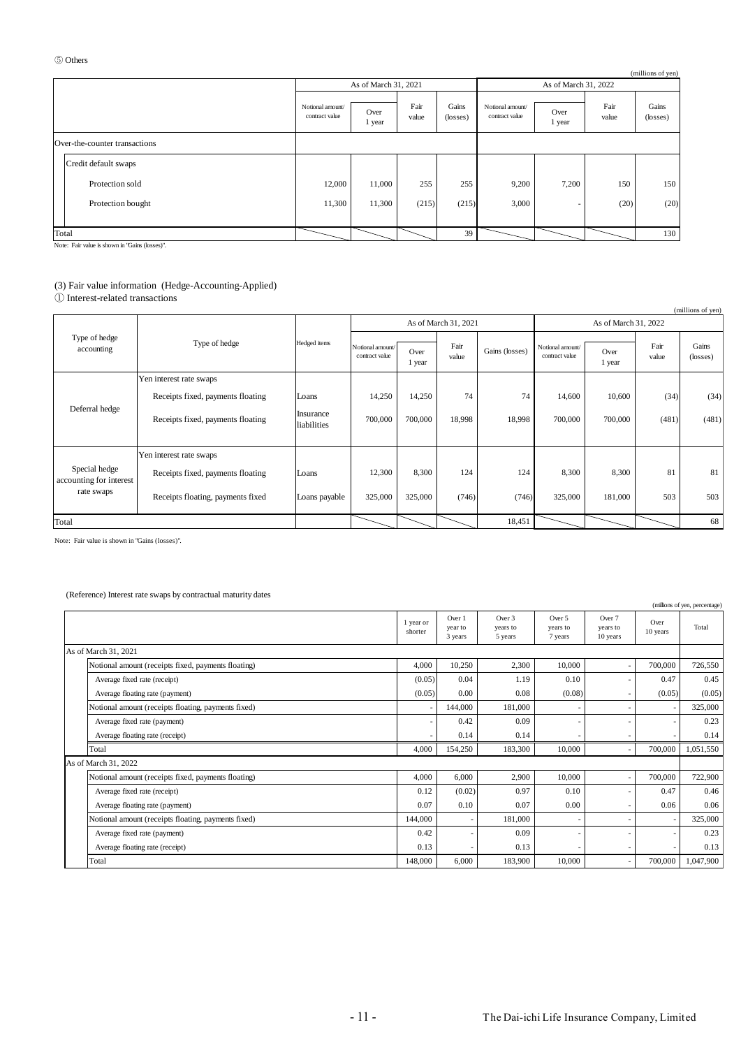|                               |                                    |                      |               |                   |                                    |                          |               | (millions of yen) |
|-------------------------------|------------------------------------|----------------------|---------------|-------------------|------------------------------------|--------------------------|---------------|-------------------|
|                               |                                    | As of March 31, 2021 |               |                   |                                    | As of March 31, 2022     |               |                   |
|                               | Notional amount/<br>contract value | Over<br>1 year       | Fair<br>value | Gains<br>(losses) | Notional amount/<br>contract value | Over<br>1 year           | Fair<br>value | Gains<br>(losses) |
| Over-the-counter transactions |                                    |                      |               |                   |                                    |                          |               |                   |
| Credit default swaps          |                                    |                      |               |                   |                                    |                          |               |                   |
| Protection sold               | 12,000                             | 11,000               | 255           | 255               | 9,200                              | 7,200                    | 150           | 150               |
| Protection bought             | 11,300                             | 11,300               | (215)         | (215)             | 3,000                              | $\overline{\phantom{a}}$ | (20)          | (20)              |
| Total                         |                                    |                      |               | 39                |                                    |                          |               | 130               |

#### (3) Fair value information (Hedge-Accounting-Applied)

|                                                        |                                   |                          |                                    |                |                      |                |                                    |                |               | (millions of yen) |
|--------------------------------------------------------|-----------------------------------|--------------------------|------------------------------------|----------------|----------------------|----------------|------------------------------------|----------------|---------------|-------------------|
|                                                        |                                   |                          |                                    |                | As of March 31, 2021 |                | As of March 31, 2022               |                |               |                   |
| Type of hedge<br>accounting                            | Type of hedge                     | Hedged items             | Notional amount/<br>contract value | Over<br>1 year | Fair<br>value        | Gains (losses) | Notional amount/<br>contract value | Over<br>1 year | Fair<br>value | Gains<br>(losses) |
|                                                        | Yen interest rate swaps           |                          |                                    |                |                      |                |                                    |                |               |                   |
|                                                        | Receipts fixed, payments floating | Loans                    | 14,250                             | 14,250         | 74                   | 74             | 14,600                             | 10,600         | (34)          | (34)              |
| Deferral hedge                                         | Receipts fixed, payments floating | Insurance<br>liabilities | 700,000                            | 700,000        | 18,998               | 18,998         | 700,000                            | 700,000        | (481)         | (481)             |
|                                                        | Yen interest rate swaps           |                          |                                    |                |                      |                |                                    |                |               |                   |
| Special hedge<br>accounting for interest<br>rate swaps | Receipts fixed, payments floating | Loans                    | 12,300                             | 8,300          | 124                  | 124            | 8,300                              | 8,300          | 81            | 81                |
|                                                        | Receipts floating, payments fixed | Loans payable            | 325,000                            | 325,000        | (746)                | (746)          | 325,000                            | 181,000        | 503           | 503               |
| Total                                                  |                                   |                          |                                    |                |                      | 18,451         |                                    |                |               | 68                |

#### (Reference) Interest rate swaps by contractual maturity dates

| 5 Others |                                                                                                                 |                                                                                     |                                    |                                   |                 |                      |                                              |                                    |                                | (millions of yen) |                               |
|----------|-----------------------------------------------------------------------------------------------------------------|-------------------------------------------------------------------------------------|------------------------------------|-----------------------------------|-----------------|----------------------|----------------------------------------------|------------------------------------|--------------------------------|-------------------|-------------------------------|
|          |                                                                                                                 |                                                                                     |                                    | As of March 31, 2021              |                 |                      |                                              | As of March 31, 2022               |                                |                   |                               |
|          |                                                                                                                 |                                                                                     | Notional amount/<br>contract value | Over<br>1 year                    | Fair<br>value   | Gains<br>(losses)    | Notional amount/<br>contract value           | Over<br>1 year                     | Fair<br>value                  | Gains<br>(losses) |                               |
|          | Over-the-counter transactions                                                                                   |                                                                                     |                                    |                                   |                 |                      |                                              |                                    |                                |                   |                               |
|          | Credit default swaps                                                                                            |                                                                                     |                                    |                                   |                 |                      |                                              |                                    |                                |                   |                               |
|          | Protection sold                                                                                                 |                                                                                     | 12,000                             | 11,000                            | 255             | 255                  | 9,200                                        | 7,200                              | 150                            | 150               |                               |
|          | Protection bought                                                                                               |                                                                                     | 11,300                             | 11,300                            | (215)           | (215)                | 3,000                                        |                                    | (20)                           | (20)              |                               |
|          |                                                                                                                 |                                                                                     |                                    |                                   |                 |                      |                                              |                                    |                                |                   |                               |
| Total    | Note: Fair value is shown in "Gains (losses)".                                                                  |                                                                                     |                                    |                                   |                 | 39                   |                                              |                                    |                                | 130               |                               |
|          | 1 Interest-related transactions                                                                                 | (3) Fair value information (Hedge-Accounting-Applied)                               |                                    |                                   |                 |                      |                                              |                                    |                                |                   | (millions of yen)             |
|          |                                                                                                                 |                                                                                     |                                    |                                   |                 | As of March 31, 2021 |                                              |                                    | As of March 31, 2022           |                   |                               |
|          | Type of hedge<br>accounting                                                                                     | Type of hedge                                                                       | Hedged items                       | Notional amount<br>contract value | Over<br>1 year  | Fair<br>value        | Gains (losses)                               | Notional amount/<br>contract value | Over<br>1 year                 | Fair<br>value     | Gains<br>(losses)             |
|          |                                                                                                                 | Yen interest rate swaps                                                             |                                    |                                   |                 |                      |                                              |                                    |                                |                   |                               |
|          | Deferral hedge                                                                                                  | Receipts fixed, payments floating                                                   | Loans                              | 14,250                            | 14,250          | 74                   | 74                                           | 14,600                             | 10,600                         | (34)              | (34)                          |
|          |                                                                                                                 | Receipts fixed, payments floating                                                   | Insurance<br>liabilities           | 700,000                           | 700,000         | 18,998               | 18,998                                       | 700,000                            | 700,000                        | (481)             | (481)                         |
|          |                                                                                                                 |                                                                                     |                                    |                                   |                 |                      |                                              |                                    |                                |                   |                               |
|          | Special hedge                                                                                                   | Yen interest rate swaps                                                             |                                    | 12,300                            | 8,300           | 124                  | 124                                          | 8,300                              | 8,300                          | 81                | 81                            |
|          | Receipts fixed, payments floating<br>accounting for interest<br>rate swaps<br>Receipts floating, payments fixed |                                                                                     | Loans                              |                                   |                 |                      |                                              |                                    |                                |                   |                               |
|          |                                                                                                                 | Loans payable                                                                       | 325,000                            | 325,000                           | (746)           | (746)                | 325,000                                      | 181,000                            | 503                            | 503               |                               |
| Total    |                                                                                                                 |                                                                                     |                                    |                                   |                 |                      | 18,451                                       |                                    |                                |                   | 68                            |
|          |                                                                                                                 | (Reference) Interest rate swaps by contractual maturity dates                       |                                    |                                   |                 |                      |                                              |                                    |                                |                   | (millions of yen, percentage) |
|          |                                                                                                                 |                                                                                     |                                    |                                   | 1 year or       | Over 1               | Over 3                                       | Over 5                             | Over 7                         | Over              |                               |
|          |                                                                                                                 |                                                                                     |                                    |                                   | shorter         | year to<br>3 years   | years to<br>5 years                          | years to<br>7 years                | years to<br>10 years           | 10 years          | Total                         |
|          | As of March 31, 2021                                                                                            |                                                                                     |                                    |                                   |                 |                      |                                              |                                    |                                |                   |                               |
|          |                                                                                                                 | Notional amount (receipts fixed, payments floating)<br>Average fixed rate (receipt) |                                    |                                   | 4,000<br>(0.05) | 10,250<br>0.04       | 2,300<br>1.19                                | 10,000<br>0.10                     |                                | 700,000<br>0.47   | 726,550<br>0.45               |
|          |                                                                                                                 | Average floating rate (payment)                                                     |                                    |                                   | (0.05)          | 0.00                 | 0.08                                         | (0.08)                             |                                | (0.05)            | (0.05)                        |
|          |                                                                                                                 | Notional amount (receipts floating, payments fixed)                                 |                                    |                                   |                 | 144,000              | 181,000                                      |                                    |                                |                   | 325,000                       |
|          |                                                                                                                 | Average fixed rate (payment)<br>Average floating rate (receipt)                     |                                    |                                   |                 | 0.42<br>0.14         | 0.09<br>0.14                                 |                                    |                                |                   | 0.23<br>0.14                  |
|          | Total                                                                                                           |                                                                                     |                                    |                                   | 4,000           | 154,250              | 183,300                                      | 10,000                             | ÷,                             | 700,000           | 1,051,550                     |
|          | As of March 31, 2022                                                                                            |                                                                                     |                                    |                                   |                 |                      |                                              |                                    |                                |                   |                               |
|          |                                                                                                                 | Notional amount (receipts fixed, payments floating)<br>Average fixed rate (receipt) |                                    |                                   | 4,000<br>0.12   | 6,000<br>(0.02)      | 2,900<br>0.97                                | 10,000<br>0.10                     | $\overline{\phantom{a}}$<br>×, | 700,000<br>0.47   | 722,900<br>0.46               |
|          |                                                                                                                 | Average floating rate (payment)                                                     |                                    |                                   | 0.07            | $0.10\,$             | 0.07                                         | $0.00\,$                           |                                | 0.06              | 0.06                          |
|          |                                                                                                                 | Notional amount (receipts floating, payments fixed)                                 |                                    |                                   | 144,000         |                      | 181,000                                      | ÷,                                 | ÷,                             |                   | 325,000                       |
|          |                                                                                                                 | Average fixed rate (payment)<br>Average floating rate (receipt)                     |                                    |                                   | 0.42<br>0.13    |                      | 0.09<br>0.13                                 | ÷                                  |                                |                   | 0.23<br>0.13                  |
|          | Total                                                                                                           |                                                                                     |                                    |                                   | 148,000         | 6,000                | 183,900                                      | 10,000                             | $\overline{\phantom{a}}$       | 700,000           | 1,047,900                     |
|          |                                                                                                                 |                                                                                     |                                    | $-11-$                            |                 |                      | The Dai-ichi Life Insurance Company, Limited |                                    |                                |                   |                               |